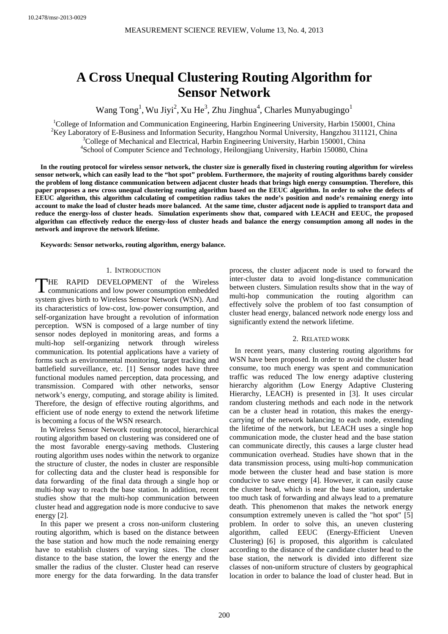# **A Cross Unequal Clustering Routing Algorithm for Sensor Network**

Wang Tong<sup>1</sup>, Wu Jiyi<sup>2</sup>, Xu He<sup>3</sup>, Zhu Jinghua<sup>4</sup>, Charles Munyabugingo<sup>1</sup>

<sup>1</sup>College of Information and Communication Engineering, Harbin Engineering University, Harbin 150001, China <sup>2</sup>Key Laboratory of E-Business and Information Security, Hangzhou Normal University, Hangzhou 311121, China  $\frac{3}{2}$ Cellege of Machanical and Electrical Herbin Engineering University, Harbin 150001, China <sup>3</sup>College of Mechanical and Electrical, Harbin Engineering University, Harbin 150001, China <sup>4</sup>School of Computer Science and Technology, Heilongjiang University, Harbin 150080, China

**In the routing protocol for wireless sensor network, the cluster size is generally fixed in clustering routing algorithm for wireless sensor network, which can easily lead to the "hot spot" problem. Furthermore, the majority of routing algorithms barely consider the problem of long distance communication between adjacent cluster heads that brings high energy consumption. Therefore, this paper proposes a new cross unequal clustering routing algorithm based on the EEUC algorithm. In order to solve the defects of EEUC algorithm, this algorithm calculating of competition radius takes the node's position and node's remaining energy into account to make the load of cluster heads more balanced. At the same time, cluster adjacent node is applied to transport data and reduce the energy-loss of cluster heads. Simulation experiments show that, compared with LEACH and EEUC, the proposed algorithm can effectively reduce the energy-loss of cluster heads and balance the energy consumption among all nodes in the network and improve the network lifetime.** 

**Keywords: Sensor networks, routing algorithm, energy balance.** 

## 1. INTRODUCTION

THE RAPID DEVELOPMENT of the Wireless THE RAPID DEVELOPMENT of the Wireless communications and low power consumption embedded system gives birth to Wireless Sensor Network (WSN). And its characteristics of low-cost, low-power consumption, and self-organization have brought a revolution of information perception. WSN is composed of a large number of tiny sensor nodes deployed in monitoring areas, and forms a multi-hop self-organizing network through wireless communication. Its potential applications have a variety of forms such as environmental monitoring, target tracking and battlefield surveillance, etc. [1] Sensor nodes have three functional modules named perception, data processing, and transmission. Compared with other networks, sensor network's energy, computing, and storage ability is limited. Therefore, the design of effective routing algorithms, and efficient use of node energy to extend the network lifetime is becoming a focus of the WSN research.

In Wireless Sensor Network routing protocol, hierarchical routing algorithm based on clustering was considered one of the most favorable energy-saving methods. Clustering routing algorithm uses nodes within the network to organize the structure of cluster, the nodes in cluster are responsible for collecting data and the cluster head is responsible for data forwarding of the final data through a single hop or multi-hop way to reach the base station. In addition, recent studies show that the multi-hop communication between cluster head and aggregation node is more conducive to save energy [2].

In this paper we present a cross non-uniform clustering routing algorithm, which is based on the distance between the base station and how much the node remaining energy have to establish clusters of varying sizes. The closer distance to the base station, the lower the energy and the smaller the radius of the cluster. Cluster head can reserve more energy for the data forwarding. In the data transfer

process, the cluster adjacent node is used to forward the inter-cluster data to avoid long-distance communication between clusters. Simulation results show that in the way of multi-hop communication the routing algorithm can effectively solve the problem of too fast consumption of cluster head energy, balanced network node energy loss and significantly extend the network lifetime.

# 2. RELATED WORK

In recent years, many clustering routing algorithms for WSN have been proposed. In order to avoid the cluster head consume, too much energy was spent and communication traffic was reduced The low energy adaptive clustering hierarchy algorithm (Low Energy Adaptive Clustering Hierarchy, LEACH) is presented in [3]. It uses circular random clustering methods and each node in the network can be a cluster head in rotation, this makes the energycarrying of the network balancing to each node, extending the lifetime of the network, but LEACH uses a single hop communication mode, the cluster head and the base station can communicate directly, this causes a large cluster head communication overhead. Studies have shown that in the data transmission process, using multi-hop communication mode between the cluster head and base station is more conducive to save energy [4]. However, it can easily cause the cluster head, which is near the base station, undertake too much task of forwarding and always lead to a premature death. This phenomenon that makes the network energy consumption extremely uneven is called the "hot spot" [5] problem. In order to solve this, an uneven clustering algorithm, called EEUC (Energy-Efficient Uneven Clustering) [6] is proposed, this algorithm is calculated according to the distance of the candidate cluster head to the base station, the network is divided into different size classes of non-uniform structure of clusters by geographical location in order to balance the load of cluster head. But in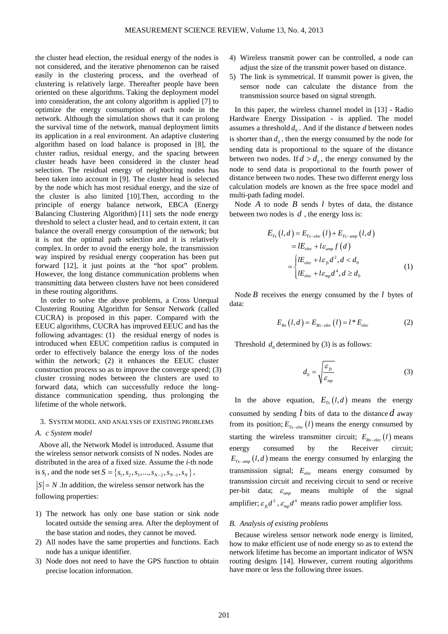the cluster head election, the residual energy of the nodes is not considered, and the iterative phenomenon can be raised easily in the clustering process, and the overhead of clustering is relatively large. Thereafter people have been oriented on these algorithms. Taking the deployment model into consideration, the ant colony algorithm is applied [7] to optimize the energy consumption of each node in the network. Although the simulation shows that it can prolong the survival time of the network, manual deployment limits its application in a real environment. An adaptive clustering algorithm based on load balance is proposed in [8], the cluster radius, residual energy, and the spacing between cluster heads have been considered in the cluster head selection. The residual energy of neighboring nodes has been taken into account in [9]. The cluster head is selected by the node which has most residual energy, and the size of the cluster is also limited [10].Then, according to the principle of energy balance network, EBCA (Energy Balancing Clustering Algorithm) [11] sets the node energy threshold to select a cluster head, and to certain extent, it can balance the overall energy consumption of the network; but it is not the optimal path selection and it is relatively complex. In order to avoid the energy hole, the transmission way inspired by residual energy cooperation has been put forward [12], it just points at the "hot spot" problem. However, the long distance communication problems when transmitting data between clusters have not been considered in these routing algorithms.

In order to solve the above problems, a Cross Unequal Clustering Routing Algorithm for Sensor Network (called CUCRA) is proposed in this paper. Compared with the EEUC algorithms, CUCRA has improved EEUC and has the following advantages: (1) the residual energy of nodes is introduced when EEUC competition radius is computed in order to effectively balance the energy loss of the nodes within the network; (2) it enhances the EEUC cluster construction process so as to improve the converge speed; (3) cluster crossing nodes between the clusters are used to forward data, which can successfully reduce the longdistance communication spending, thus prolonging the lifetime of the whole network.

# 3. SYSTEM MODEL AND ANALYSIS OF EXISTING PROBLEMS

## *A. c System model*

Above all, the Network Model is introduced. Assume that the wireless sensor network consists of N nodes. Nodes are distributed in the area of a fixed size. Assume the *i*-th node is  $s_i$ , and the node set  $S = \{s_1, s_2, s_3, ..., s_{N-2}, s_{N-1}, s_N\}$ ,

 $|S| = N$ . In addition, the wireless sensor network has the following properties:

- 1) The network has only one base station or sink node located outside the sensing area. After the deployment of the base station and nodes, they cannot be moved.
- 2) All nodes have the same properties and functions. Each node has a unique identifier.
- 3) Node does not need to have the GPS function to obtain precise location information.
- 4) Wireless transmit power can be controlled, a node can adjust the size of the transmit power based on distance.
- 5) The link is symmetrical. If transmit power is given, the sensor node can calculate the distance from the transmission source based on signal strength.

In this paper, the wireless channel model in [13] - Radio Hardware Energy Dissipation - is applied. The model assumes a threshold  $d_0$ . And if the distance *d* between nodes is shorter than  $d_0$ , then the energy consumed by the node for sending data is proportional to the square of the distance between two nodes. If  $d > d_0$ , the energy consumed by the node to send data is proportional to the fourth power of distance between two nodes. These two different energy loss calculation models are known as the free space model and multi-path fading model.

Node *A* to node *B* sends *l* bytes of data, the distance between two nodes is *d* , the energy loss is:

$$
E_{Tx}(l,d) = E_{Tx-elec}(l) + E_{Tx-amp}(l,d)
$$
  
\n
$$
= lE_{elec} + l\varepsilon_{amp}f(d)
$$
  
\n
$$
= \begin{cases} lE_{elec} + l\varepsilon_{fs}d^2, d < d_0 \\ lE_{elec} + l\varepsilon_{mp}d^4, d \ge d_0 \end{cases}
$$
 (1)

Node *B* receives the energy consumed by the *l* bytes of data:

$$
E_{Rx}(l,d) = E_{Rx-elec}(l) = l * E_{elec}
$$
 (2)

Threshold  $d_0$  determined by (3) is as follows:

$$
d_0 = \sqrt{\frac{\varepsilon_{fs}}{\varepsilon_{mp}}} \tag{3}
$$

In the above equation,  $E_{\tau}$   $(l, d)$  means the energy consumed by sending *l* bits of data to the distance *d* away from its position;  $E_{Tx = elec}$  (*l*) means the energy consumed by starting the wireless transmitter circuit;  $E_{Rx$ -elec (*l*) means energy consumed by the Receiver circuit;  $E_{T_{x-qmp}}(l, d)$  means the energy consumed by enlarging the transmission signal;  $E_{elec}$  means energy consumed by transmission circuit and receiving circuit to send or receive per-bit data;  $\varepsilon_{\text{mm}}$  means multiple of the signal amplifier;  $\varepsilon_{fs}d^2$ ,  $\varepsilon_{mp}d^4$  means radio power amplifier loss.

## *B. Analysis of existing problems*

Because wireless sensor network node energy is limited, how to make efficient use of node energy so as to extend the network lifetime has become an important indicator of WSN routing designs [14]. However, current routing algorithms have more or less the following three issues.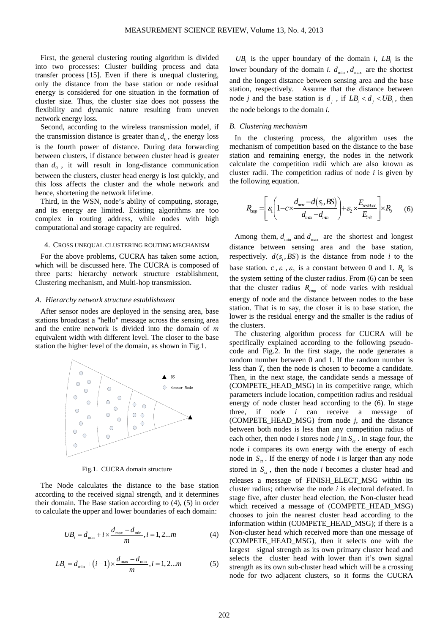First, the general clustering routing algorithm is divided into two processes: Cluster building process and data transfer process [15]. Even if there is unequal clustering, only the distance from the base station or node residual energy is considered for one situation in the formation of cluster size. Thus, the cluster size does not possess the flexibility and dynamic nature resulting from uneven network energy loss.

Second, according to the wireless transmission model, if the transmission distance is greater than  $d_0$ , the energy loss is the fourth power of distance. During data forwarding between clusters, if distance between cluster head is greater than  $d_0$ , it will result in long-distance communication between the clusters, cluster head energy is lost quickly, and this loss affects the cluster and the whole network and hence, shortening the network lifetime.

Third, in the WSN, node's ability of computing, storage, and its energy are limited. Existing algorithms are too complex in routing address, while nodes with high computational and storage capacity are required.

#### 4. CROSS UNEQUAL CLUSTERING ROUTING MECHANISM

For the above problems, CUCRA has taken some action, which will be discussed here. The CUCRA is composed of three parts: hierarchy network structure establishment, Clustering mechanism, and Multi-hop transmission.

#### *A. Hierarchy network structure establishment*

After sensor nodes are deployed in the sensing area, base stations broadcast a "hello" message across the sensing area and the entire network is divided into the domain of *m* equivalent width with different level. The closer to the base station the higher level of the domain, as shown in Fig.1.



Fig.1. CUCRA domain structure

The Node calculates the distance to the base station according to the received signal strength, and it determines their domain. The Base station according to (4), (5) in order to calculate the upper and lower boundaries of each domain:

$$
UB_i = d_{\min} + i \times \frac{d_{\max} - d_{\min}}{m}, i = 1, 2...m
$$
 (4)

$$
LB_i = d_{\min} + (i-1) \times \frac{d_{\max} - d_{\min}}{m}, i = 1, 2...m
$$
 (5)

 $UB_i$  is the upper boundary of the domain *i*,  $LB_i$  is the lower boundary of the domain *i*.  $d_{\min}$ ,  $d_{\max}$  are the shortest and the longest distance between sensing area and the base station, respectively. Assume that the distance between node *j* and the base station is  $d_i$ , if  $LB_i < d_i < UB_i$ , then the node belongs to the domain *i*.

## *B. Clustering mechanism*

In the clustering process, the algorithm uses the mechanism of competition based on the distance to the base station and remaining energy, the nodes in the network calculate the competition radii which are also known as cluster radii. The competition radius of node *i* is given by the following equation.

$$
R_{\text{tmp}} = \left[ \varepsilon_1 \left( 1 - c \times \frac{d_{\text{max}} - d(s_i, BS)}{d_{\text{max}} - d_{\text{min}}} \right) + \varepsilon_2 \times \frac{E_{\text{residual}}}{E_{\text{init}}} \right] \times R_0 \tag{6}
$$

Among them,  $d_{\min}$  and  $d_{\max}$  are the shortest and longest distance between sensing area and the base station, respectively.  $d(s_i, BS)$  is the distance from node *i* to the base station. *c*,  $\varepsilon_1$ ,  $\varepsilon_2$  is a constant between 0 and 1.  $R_0$  is the system setting of the cluster radius. From (6) can be seen that the cluster radius  $R_{cmp}$  of node varies with residual energy of node and the distance between nodes to the base station. That is to say, the closer it is to base station, the lower is the residual energy and the smaller is the radius of the clusters.

The clustering algorithm process for CUCRA will be specifically explained according to the following pseudocode and Fig.2. In the first stage, the node generates a random number between 0 and 1. If the random number is less than *T*, then the node is chosen to become a candidate. Then, in the next stage, the candidate sends a message of (COMPETE\_HEAD\_MSG) in its competitive range, which parameters include location, competition radius and residual energy of node cluster head according to the (6). In stage three, if node *i* can receive a message of (COMPETE\_HEAD\_MSG) from node *j*, and the distance between both nodes is less than any competition radius of each other, then node *i* stores node *j* in  $S_{ct}$ . In stage four, the node *i* compares its own energy with the energy of each node in  $S_{ct}$ . If the energy of node *i* is larger than any node stored in  $S_{ct}$ , then the node *i* becomes a cluster head and releases a message of FINISH\_ELECT\_MSG within its cluster radius; otherwise the node *i* is electoral defeated. In stage five, after cluster head election, the Non-cluster head which received a message of (COMPETE\_HEAD\_MSG) chooses to join the nearest cluster head according to the information within (COMPETE\_HEAD\_MSG); if there is a Non-cluster head which received more than one message of (COMPETE\_HEAD\_MSG), then it selects one with the largest signal strength as its own primary cluster head and selects the cluster head with lower than it's own signal strength as its own sub-cluster head which will be a crossing node for two adjacent clusters, so it forms the CUCRA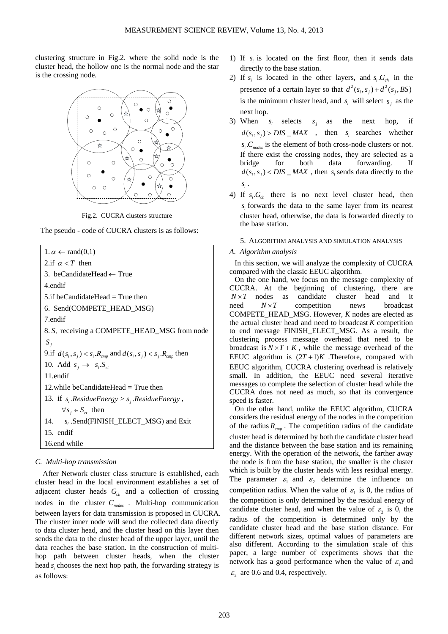clustering structure in Fig.2. where the solid node is the cluster head, the hollow one is the normal node and the star is the crossing node.



Fig.2. CUCRA clusters structure

The pseudo - code of CUCRA clusters is as follows:

 $1. \alpha \leftarrow \text{rand}(0.1)$ 2.if  $\alpha < T$  then 3. beCandidateHead ← True 4.endif 5.if beCandidateHead = True then 6. Send(COMPETE\_HEAD\_MSG) 7.endif 8. S<sub>i</sub> receiving a COMPETE\_HEAD\_MSG from node *j S* 9.if  $d(s_i, s_j) < s_i R_{cmp}$  and  $d(s_i, s_j) < s_j R_{cmp}$  then 10. Add  $s_i \rightarrow s_i.S_{ct}$ 11.endif 12.while beCandidateHead  $=$  True then 13. if  $s_i$  *ResidueEnergy* >  $s_j$  *ResidueEnergy*,  $∀s_i ∈ S_{ct}$  then 14. *s<sub>i</sub>* .Send(FINISH\_ELECT\_MSG) and Exit 15. endif 16.end while

# *C. Multi-hop transmission*

After Network cluster class structure is established, each cluster head in the local environment establishes a set of adjacent cluster heads  $G<sub>ch</sub>$  and a collection of crossing nodes in the cluster *Cnodes* . Multi-hop communication between layers for data transmission is proposed in CUCRA. The cluster inner node will send the collected data directly to data cluster head, and the cluster head on this layer then sends the data to the cluster head of the upper layer, until the data reaches the base station. In the construction of multihop path between cluster heads, when the cluster head *s*, chooses the next hop path, the forwarding strategy is as follows:

- 1) If  $s_i$  is located on the first floor, then it sends data directly to the base station.
- 2) If  $s_i$  is located in the other layers, and  $s_i$  *G*<sub>ch</sub> in the presence of a certain layer so that  $d^2(s_i, s_j) + d^2(s_i, BS)$ is the minimum cluster head, and  $s_i$  will select  $s_i$  as the next hop.
- 3) When  $s_i$  selects  $s_i$  as the next hop, if  $d(s_i, s_j) > DIS\_MAX$ , then  $s_i$  searches whether  $S_i$ . $C_{nodes}$  is the element of both cross-node clusters or not. If there exist the crossing nodes, they are selected as a bridge for both data forwarding. If  $d(s_i, s_j) < DIS\_MAX$ , then  $s_i$  sends data directly to the *<sup>i</sup> s* .
- 4) If  $s_i G_{ch}$  there is no next level cluster head, then *<sup>i</sup> s* forwards the data to the same layer from its nearest cluster head, otherwise, the data is forwarded directly to the base station.

# 5. ALGORITHM ANALYSIS AND SIMULATION ANALYSIS

## *A. Algorithm analysis*

In this section, we will analyze the complexity of CUCRA compared with the classic EEUC algorithm.

On the one hand, we focus on the message complexity of CUCRA. At the beginning of clustering, there are  $N \times T$  nodes as candidate cluster head and it  $\text{need}$   $N \times T$  competition news broadcast COMPETE\_HEAD\_MSG. However, *K* nodes are elected as the actual cluster head and need to broadcast *K* competition to end message FINISH\_ELECT\_MSG. As a result, the clustering process message overhead that need to be broadcast is  $N \times T + K$ , while the message overhead of the EEUC algorithm is  $(2T+1)K$ . Therefore, compared with EEUC algorithm, CUCRA clustering overhead is relatively small. In addition, the EEUC need several iterative messages to complete the selection of cluster head while the CUCRA does not need as much, so that its convergence speed is faster.

On the other hand, unlike the EEUC algorithm, CUCRA considers the residual energy of the nodes in the competition of the radius  $R_{\text{cmp}}$ . The competition radius of the candidate cluster head is determined by both the candidate cluster head and the distance between the base station and its remaining energy. With the operation of the network, the farther away the node is from the base station, the smaller is the cluster which is built by the cluster heads with less residual energy. The parameter  $\varepsilon_1$  and  $\varepsilon_2$  determine the influence on competition radius. When the value of  $\varepsilon_1$  is 0, the radius of the competition is only determined by the residual energy of candidate cluster head, and when the value of  $\varepsilon$ , is 0, the radius of the competition is determined only by the candidate cluster head and the base station distance. For different network sizes, optimal values of parameters are also different. According to the simulation scale of this paper, a large number of experiments shows that the network has a good performance when the value of  $\varepsilon_1$  and  $\varepsilon$ , are 0.6 and 0.4, respectively.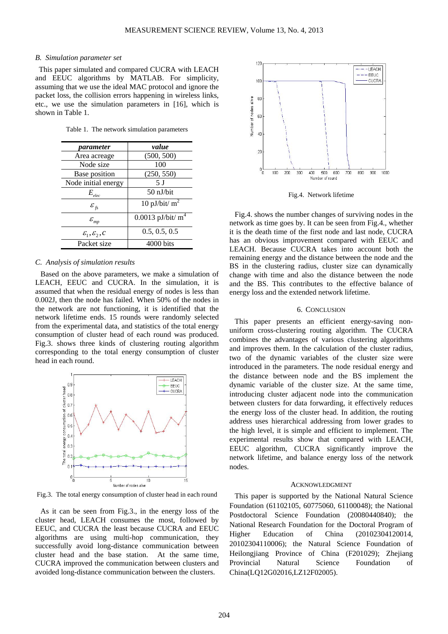#### *B. Simulation parameter set*

This paper simulated and compared CUCRA with LEACH and EEUC algorithms by MATLAB. For simplicity, assuming that we use the ideal MAC protocol and ignore the packet loss, the collision errors happening in wireless links, etc., we use the simulation parameters in [16], which is shown in Table 1.

Table 1. The network simulation parameters

| parameter                         | value                           |
|-----------------------------------|---------------------------------|
| Area acreage                      | (500, 500)                      |
| Node size                         | 100                             |
| Base position                     | (250, 550)                      |
| Node initial energy               | 5 I                             |
| $E_{elec}$                        | $50$ nJ/bit                     |
| $\mathcal{E}_{fs}$                | 10 pJ/bit/ $m^2$                |
| $\varepsilon_{_{mp}}$             | $0.0013$ pJ/bit/ m <sup>4</sup> |
| $\mathcal{E}_1, \mathcal{E}_2, C$ | 0.5, 0.5, 0.5                   |
| Packet size                       | $4000 \text{ bits}$             |

# *C. Analysis of simulation results*

Based on the above parameters, we make a simulation of LEACH, EEUC and CUCRA. In the simulation, it is assumed that when the residual energy of nodes is less than 0.002J, then the node has failed. When 50% of the nodes in the network are not functioning, it is identified that the network lifetime ends. 15 rounds were randomly selected from the experimental data, and statistics of the total energy consumption of cluster head of each round was produced. Fig.3. shows three kinds of clustering routing algorithm corresponding to the total energy consumption of cluster head in each round.



Fig.3. The total energy consumption of cluster head in each round

As it can be seen from Fig.3., in the energy loss of the cluster head, LEACH consumes the most, followed by EEUC, and CUCRA the least because CUCRA and EEUC algorithms are using multi-hop communication, they successfully avoid long-distance communication between cluster head and the base station. At the same time, CUCRA improved the communication between clusters and avoided long-distance communication between the clusters.



Fig.4. Network lifetime

Fig.4. shows the number changes of surviving nodes in the network as time goes by. It can be seen from Fig.4., whether it is the death time of the first node and last node, CUCRA has an obvious improvement compared with EEUC and LEACH. Because CUCRA takes into account both the remaining energy and the distance between the node and the BS in the clustering radius, cluster size can dynamically change with time and also the distance between the node and the BS. This contributes to the effective balance of energy loss and the extended network lifetime.

# 6. CONCLUSION

This paper presents an efficient energy-saving nonuniform cross-clustering routing algorithm. The CUCRA combines the advantages of various clustering algorithms and improves them. In the calculation of the cluster radius, two of the dynamic variables of the cluster size were introduced in the parameters. The node residual energy and the distance between node and the BS implement the dynamic variable of the cluster size. At the same time, introducing cluster adjacent node into the communication between clusters for data forwarding, it effectively reduces the energy loss of the cluster head. In addition, the routing address uses hierarchical addressing from lower grades to the high level, it is simple and efficient to implement. The experimental results show that compared with LEACH, EEUC algorithm, CUCRA significantly improve the network lifetime, and balance energy loss of the network nodes.

#### ACKNOWLEDGMENT

This paper is supported by the National Natural Science Foundation (61102105, 60775060, 61100048); the National Postdoctoral Science Foundation (20080440840); the National Research Foundation for the Doctoral Program of Higher Education of China (20102304120014, 20102304110006); the Natural Science Foundation of Heilongjiang Province of China (F201029); Zhejiang Provincial Natural Science Foundation of China(LQ12G02016,LZ12F02005).